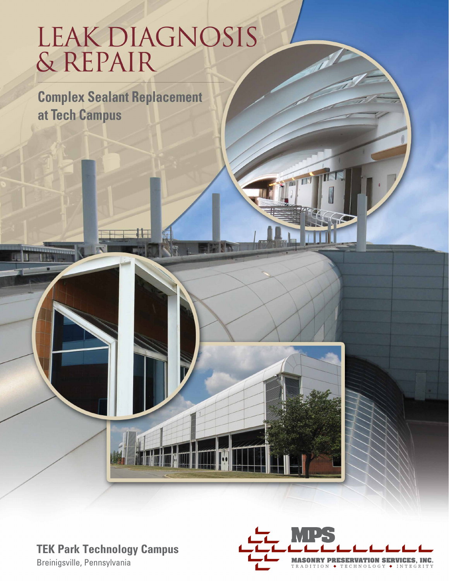# LEAK DIAGNOSIS<br>& REPAIR

**Complex Sealant Replacement** at Tech Campus

## **TEK Park Technology Campus**

Breinigsville, Pennsylvania



THE